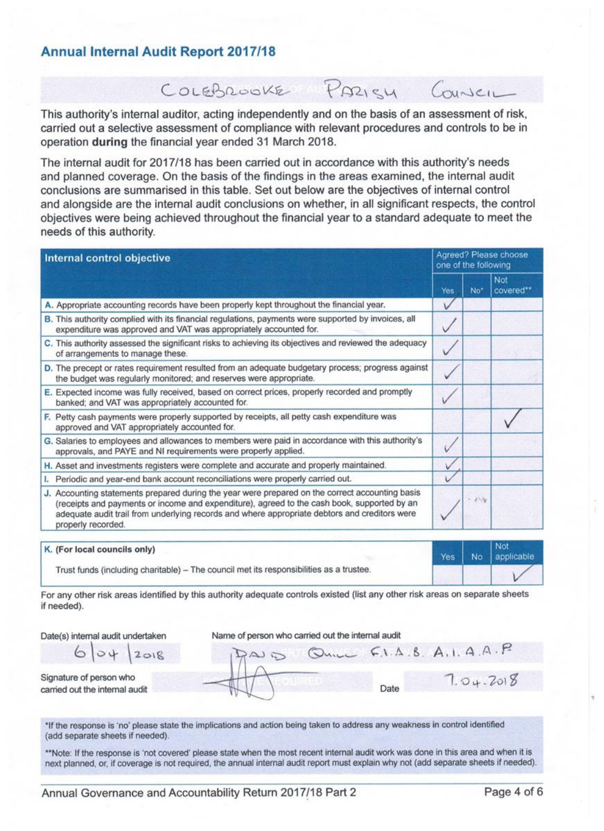## **Annual Internal Audit Report 2017/18**

This authority's internal auditor, acting independently and on the basis of an assessment of risk, carried out a selective assessment of compliance with relevant procedures and controls to be in operation during the financial year ended 31 March 2018.

COLEBROOKE PARISH COUNCIL

The internal audit for 2017/18 has been carried out in accordance with this authority's needs and planned coverage. On the basis of the findings in the areas examined, the internal audit conclusions are summarised in this table. Set out below are the objectives of internal control and alongside are the internal audit conclusions on whether, in all significant respects, the control objectives were being achieved throughout the financial year to a standard adequate to meet the needs of this authority.

| Internal control objective                                                                                                                                                                                                                                                                                            |     | Agreed? Please choose<br>one of the following |                         |  |
|-----------------------------------------------------------------------------------------------------------------------------------------------------------------------------------------------------------------------------------------------------------------------------------------------------------------------|-----|-----------------------------------------------|-------------------------|--|
|                                                                                                                                                                                                                                                                                                                       | Yes | No <sup>*</sup>                               | <b>Not</b><br>covered** |  |
| A. Appropriate accounting records have been properly kept throughout the financial year.                                                                                                                                                                                                                              | V   |                                               |                         |  |
| B. This authority complied with its financial regulations, payments were supported by invoices, all<br>expenditure was approved and VAT was appropriately accounted for.                                                                                                                                              | V   |                                               |                         |  |
| C. This authority assessed the significant risks to achieving its objectives and reviewed the adequacy<br>of arrangements to manage these.                                                                                                                                                                            | v   |                                               |                         |  |
| D. The precept or rates requirement resulted from an adequate budgetary process; progress against<br>the budget was regularly monitored; and reserves were appropriate.                                                                                                                                               |     |                                               |                         |  |
| E. Expected income was fully received, based on correct prices, properly recorded and promptly<br>banked; and VAT was appropriately accounted for.                                                                                                                                                                    | v   |                                               |                         |  |
| F. Petty cash payments were properly supported by receipts, all petty cash expenditure was<br>approved and VAT appropriately accounted for.                                                                                                                                                                           |     |                                               |                         |  |
| G. Salaries to employees and allowances to members were paid in accordance with this authority's<br>approvals, and PAYE and NI requirements were properly applied.                                                                                                                                                    |     |                                               |                         |  |
| H. Asset and investments registers were complete and accurate and properly maintained.                                                                                                                                                                                                                                |     |                                               |                         |  |
| I. Periodic and year-end bank account reconciliations were properly carried out.                                                                                                                                                                                                                                      |     |                                               |                         |  |
| J. Accounting statements prepared during the year were prepared on the correct accounting basis<br>(receipts and payments or income and expenditure), agreed to the cash book, supported by an<br>adequate audit trail from underlying records and where appropriate debtors and creditors were<br>properly recorded. |     | $-23.5$                                       |                         |  |

| K. (For local councils only)                                                            |  | Yes   No   applicable |
|-----------------------------------------------------------------------------------------|--|-----------------------|
| Trust funds (including charitable) - The council met its responsibilities as a trustee. |  |                       |

For any other risk areas identified by this authority adequate controls existed (list any other risk areas on separate sheets if needed).

Date(s) internal audit undertaken  $04$ 

 $2018$ 

Name of person who carried out the internal audit

Signature of person who carried out the internal audit

6

 $F.I.A.B.A.I.A.A.P$  $7.04.2018$ Date

\*If the response is 'no' please state the implications and action being taken to address any weakness in control identified (add separate sheets if needed).

\*\*Note: If the response is 'not covered' please state when the most recent internal audit work was done in this area and when it is next planned, or, if coverage is not required, the annual internal audit report must explain why not (add separate sheets if needed).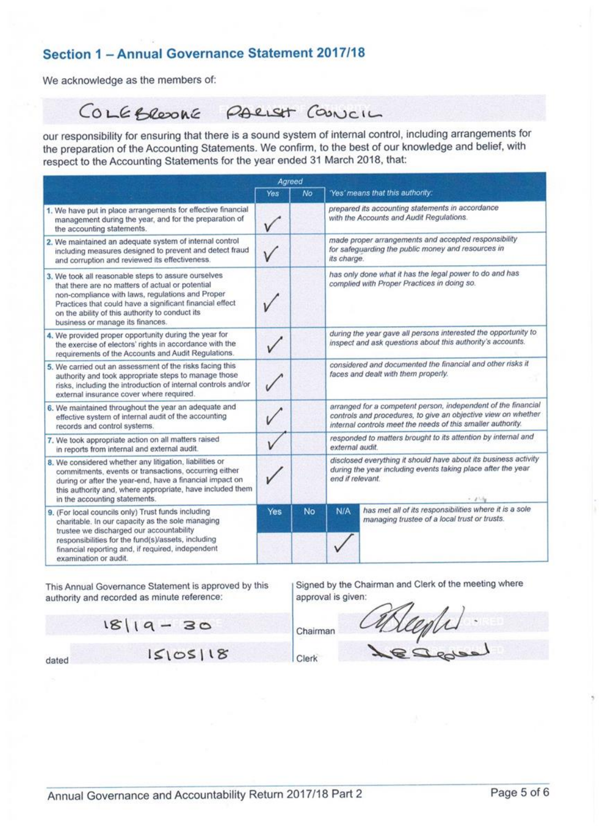## Section 1 - Annual Governance Statement 2017/18

We acknowledge as the members of:

#### COLEBREDONE PARIST COUNCIL

our responsibility for ensuring that there is a sound system of internal control, including arrangements for the preparation of the Accounting Statements. We confirm, to the best of our knowledge and belief, with respect to the Accounting Statements for the year ended 31 March 2018, that:

| Agreed                                                                                                                                                                                                                                                                                                         |            |           |                                                                                                                                                                                               |                                                                                                            |  |
|----------------------------------------------------------------------------------------------------------------------------------------------------------------------------------------------------------------------------------------------------------------------------------------------------------------|------------|-----------|-----------------------------------------------------------------------------------------------------------------------------------------------------------------------------------------------|------------------------------------------------------------------------------------------------------------|--|
|                                                                                                                                                                                                                                                                                                                | <b>Yes</b> | No        |                                                                                                                                                                                               | 'Yes' means that this authority:                                                                           |  |
| 1. We have put in place arrangements for effective financial<br>management during the year, and for the preparation of<br>the accounting statements.                                                                                                                                                           |            |           | prepared its accounting statements in accordance<br>with the Accounts and Audit Regulations.                                                                                                  |                                                                                                            |  |
| 2. We maintained an adequate system of internal control<br>including measures designed to prevent and detect fraud<br>and corruption and reviewed its effectiveness.                                                                                                                                           |            |           | its charge.                                                                                                                                                                                   | made proper arrangements and accepted responsibility<br>for safeguarding the public money and resources in |  |
| 3. We took all reasonable steps to assure ourselves<br>that there are no matters of actual or potential<br>non-compliance with laws, regulations and Proper<br>Practices that could have a significant financial effect<br>on the ability of this authority to conduct its<br>business or manage its finances. |            |           | has only done what it has the legal power to do and has<br>complied with Proper Practices in doing so.                                                                                        |                                                                                                            |  |
| 4. We provided proper opportunity during the year for<br>the exercise of electors' rights in accordance with the<br>requirements of the Accounts and Audit Regulations.                                                                                                                                        |            |           | during the year gave all persons interested the opportunity to<br>inspect and ask questions about this authority's accounts.                                                                  |                                                                                                            |  |
| 5. We carried out an assessment of the risks facing this<br>authority and took appropriate steps to manage those<br>risks, including the introduction of internal controls and/or<br>external insurance cover where required.                                                                                  |            |           | considered and documented the financial and other risks it<br>faces and dealt with them properly.                                                                                             |                                                                                                            |  |
| 6. We maintained throughout the year an adequate and<br>effective system of internal audit of the accounting<br>records and control systems.                                                                                                                                                                   |            |           | arranged for a competent person, independent of the financial<br>controls and procedures, to give an objective view on whether<br>internal controls meet the needs of this smaller authority. |                                                                                                            |  |
| 7. We took appropriate action on all matters raised<br>in reports from internal and external audit.                                                                                                                                                                                                            |            |           | responded to matters brought to its attention by internal and<br>external audit.                                                                                                              |                                                                                                            |  |
| 8. We considered whether any litigation, liabilities or<br>commitments, events or transactions, occurring either<br>during or after the year-end, have a financial impact on<br>this authority and, where appropriate, have included them<br>in the accounting statements.                                     |            |           | disclosed everything it should have about its business activity<br>during the year including events taking place after the year<br>end if relevant.                                           |                                                                                                            |  |
| 9. (For local councils only) Trust funds including<br>charitable. In our capacity as the sole managing<br>trustee we discharged our accountability<br>responsibilities for the fund(s)/assets, including<br>financial reporting and, if required, independent<br>examination or audit.                         | Yes        | <b>No</b> | N/A                                                                                                                                                                                           | has met all of its responsibilities where it is a sole<br>managing trustee of a local trust or trusts.     |  |

This Annual Governance Statement is approved by this authority and recorded as minute reference:

Signed by the Chairman and Clerk of the meeting where approval is given:

 $18|19 - 30$  $15105118$ dated

Clerk

Chairman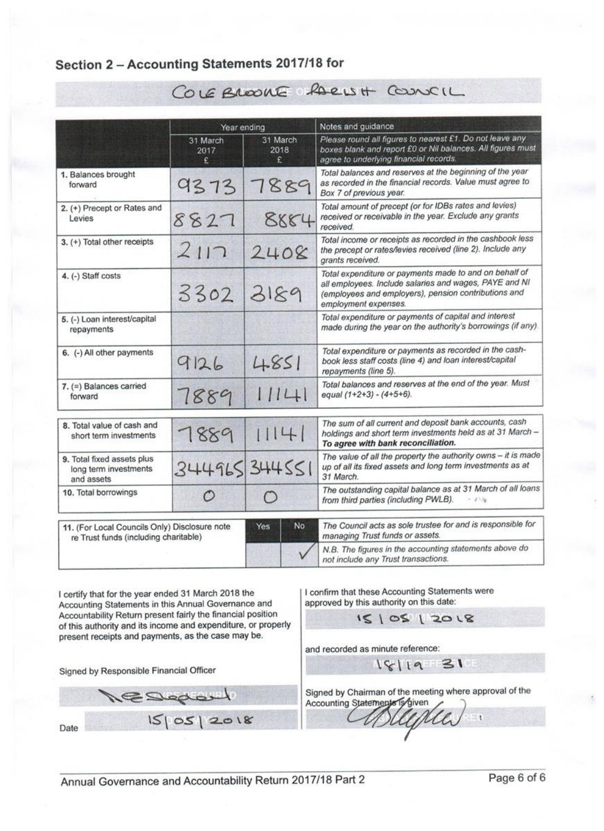## Section 2 - Accounting Statements 2017/18 for

|                                                                                        | Year ending           |                       | Notes and guidance                                                                                                                                                                               |  |  |  |
|----------------------------------------------------------------------------------------|-----------------------|-----------------------|--------------------------------------------------------------------------------------------------------------------------------------------------------------------------------------------------|--|--|--|
|                                                                                        | 31 March<br>2017<br>£ | 31 March<br>2018<br>£ | Please round all figures to nearest £1. Do not leave any<br>boxes blank and report £0 or Nil balances. All figures must<br>agree to underlying financial records.                                |  |  |  |
| 1. Balances brought<br>forward                                                         | 9373                  | 7889                  | Total balances and reserves at the beginning of the year<br>as recorded in the financial records. Value must agree to<br>Box 7 of previous year.                                                 |  |  |  |
| 2. (+) Precept or Rates and<br>Levies                                                  | 8827                  | 8884                  | Total amount of precept (or for IDBs rates and levies)<br>received or receivable in the year. Exclude any grants<br>received.                                                                    |  |  |  |
| 3. (+) Total other receipts                                                            | 2117                  | 2408                  | Total income or receipts as recorded in the cashbook less<br>the precept or rates/levies received (line 2). Include any<br>grants received.                                                      |  |  |  |
| 4. (-) Staff costs                                                                     | 3302                  | 3189                  | Total expenditure or payments made to and on behalf of<br>all employees. Include salaries and wages, PAYE and NI<br>(employees and employers), pension contributions and<br>employment expenses. |  |  |  |
| 5. (-) Loan interest/capital<br>repayments                                             |                       |                       | Total expenditure or payments of capital and interest<br>made during the year on the authority's borrowings (if any).                                                                            |  |  |  |
| 6. (-) All other payments                                                              | 9126                  | 4.851                 | Total expenditure or payments as recorded in the cash-<br>book less staff costs (line 4) and loan interest/capital<br>repayments (line 5).                                                       |  |  |  |
| 7. (=) Balances carried<br>forward                                                     | 7889                  | 11141                 | Total balances and reserves at the end of the year. Must<br>equal (1+2+3) - (4+5+6).                                                                                                             |  |  |  |
| 8. Total value of cash and<br>short term investments                                   | 7889                  | 114                   | The sum of all current and deposit bank accounts, cash<br>holdings and short term investments held as at 31 March -<br>To agree with bank reconciliation.                                        |  |  |  |
| 9. Total fixed assets plus<br>long term investments<br>and assets                      | 344965344551          |                       | The value of all the property the authority owns - it is made<br>up of all its fixed assets and long term investments as at<br>31 March.                                                         |  |  |  |
| 10. Total borrowings                                                                   | O                     | $\left( \right)$      | The outstanding capital balance as at 31 March of all loans<br>from third parties (including PWLB).<br>$-21.5$                                                                                   |  |  |  |
| 11. (For Local Councils Only) Disclosure note<br>re Trust funds (including charitable) |                       | No<br>Yes             | The Council acts as sole trustee for and is responsible for<br>managing Trust funds or assets.                                                                                                   |  |  |  |
|                                                                                        |                       |                       | N.B. The figures in the accounting statements above do<br>not include any Trust transactions.                                                                                                    |  |  |  |

COLEBROOKE RACISH COUNCIL

I certify that for the year ended 31 March 2018 the Accounting Statements in this Annual Governance and Accountability Return present fairly the financial position of this authority and its income and expenditure, or properly present receipts and payments, as the case may be.

Signed by Responsible Financial Officer

SSedo  $150512018$ Date

I confirm that these Accounting Statements were approved by this authority on this date:

 $1510512018$ 

and recorded as minute reference:

Signed by Chairman of the meeting where approval of the

18/19 31

Accounting Statements is given  $\mathbf{1}$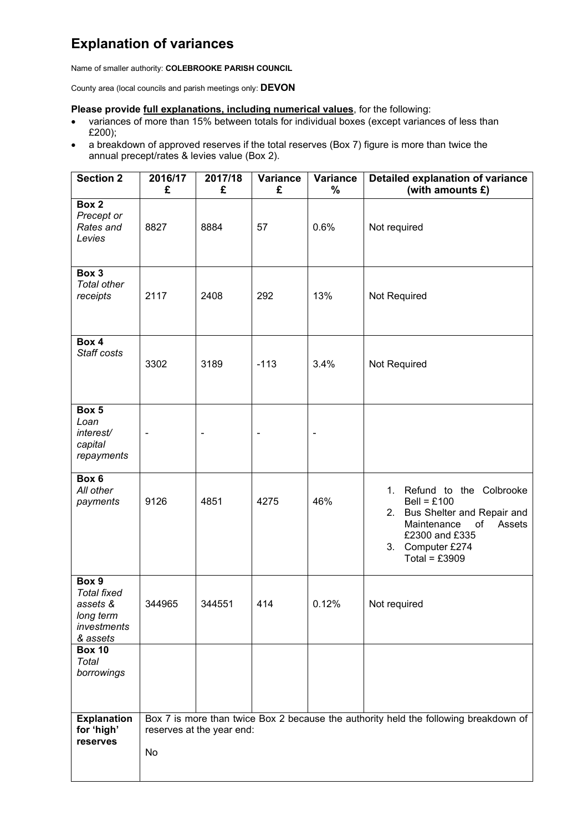## **Explanation of variances**

Name of smaller authority: **COLEBROOKE PARISH COUNCIL**

County area (local councils and parish meetings only: **DEVON**

#### **Please provide full explanations, including numerical values**, for the following:

- variances of more than 15% between totals for individual boxes (except variances of less than £200);
- a breakdown of approved reserves if the total reserves (Box 7) figure is more than twice the annual precept/rates & levies value (Box 2).

| <b>Section 2</b>                                                                | 2016/17<br>£ | 2017/18<br>£              | <b>Variance</b><br>£     | Variance<br>% | <b>Detailed explanation of variance</b><br>(with amounts £)                                                                                                                          |
|---------------------------------------------------------------------------------|--------------|---------------------------|--------------------------|---------------|--------------------------------------------------------------------------------------------------------------------------------------------------------------------------------------|
| Box 2                                                                           |              |                           |                          |               |                                                                                                                                                                                      |
| Precept or<br>Rates and<br>Levies                                               | 8827         | 8884                      | 57                       | 0.6%          | Not required                                                                                                                                                                         |
| Box 3<br><b>Total other</b><br>receipts                                         | 2117         | 2408                      | 292                      | 13%           | Not Required                                                                                                                                                                         |
| Box 4<br>Staff costs                                                            | 3302         | 3189                      | $-113$                   | 3.4%          | Not Required                                                                                                                                                                         |
| Box 5<br>Loan<br>interest/<br>capital<br>repayments                             |              | $\overline{a}$            | $\overline{\phantom{0}}$ | -             |                                                                                                                                                                                      |
| Box 6<br>All other<br>payments                                                  | 9126         | 4851                      | 4275                     | 46%           | Refund to the Colbrooke<br>1.<br>$Bell = £100$<br>Bus Shelter and Repair and<br>2.<br>$\circ$ f<br>Maintenance<br>Assets<br>£2300 and £335<br>Computer £274<br>3.<br>Total = $£3909$ |
| Box 9<br><b>Total fixed</b><br>assets &<br>long term<br>investments<br>& assets | 344965       | 344551                    | 414                      | 0.12%         | Not required                                                                                                                                                                         |
| <b>Box 10</b><br>Total<br>borrowings                                            |              |                           |                          |               |                                                                                                                                                                                      |
| <b>Explanation</b><br>for 'high'<br>reserves                                    | No           | reserves at the year end: |                          |               | Box 7 is more than twice Box 2 because the authority held the following breakdown of                                                                                                 |